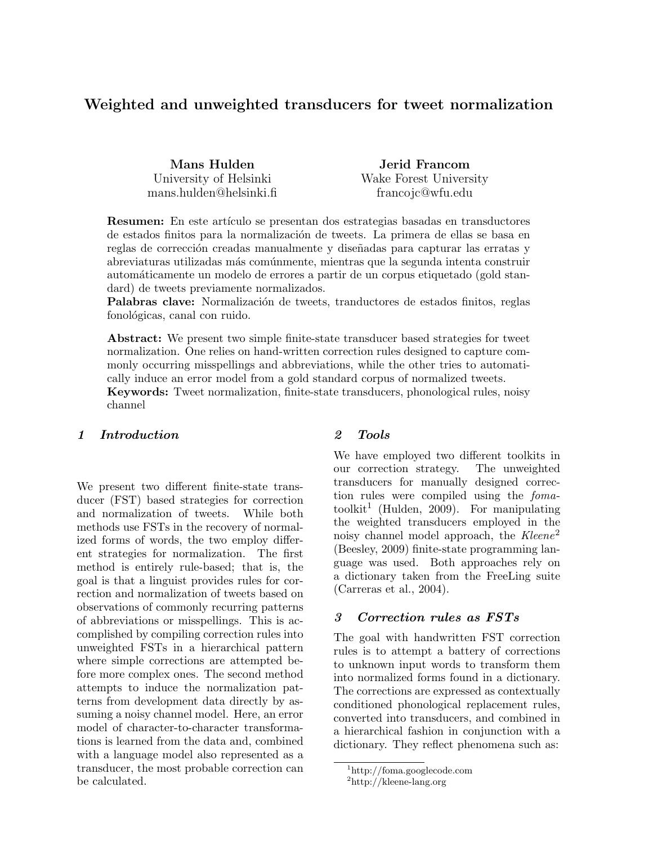# Weighted and unweighted transducers for tweet normalization

Mans Hulden University of Helsinki mans.hulden@helsinki.fi

Jerid Francom Wake Forest University francojc@wfu.edu

**Resumen:** En este artículo se presentan dos estrategias basadas en transductores de estados finitos para la normalización de tweets. La primera de ellas se basa en reglas de corrección creadas manualmente y diseñadas para capturar las erratas y abreviaturas utilizadas m´as com´unmente, mientras que la segunda intenta construir autom´aticamente un modelo de errores a partir de un corpus etiquetado (gold standard) de tweets previamente normalizados.

Palabras clave: Normalización de tweets, tranductores de estados finitos, reglas fonológicas, canal con ruido.

Abstract: We present two simple finite-state transducer based strategies for tweet normalization. One relies on hand-written correction rules designed to capture commonly occurring misspellings and abbreviations, while the other tries to automatically induce an error model from a gold standard corpus of normalized tweets.

Keywords: Tweet normalization, finite-state transducers, phonological rules, noisy channel

# 1 Introduction

We present two different finite-state transducer (FST) based strategies for correction and normalization of tweets. While both methods use FSTs in the recovery of normalized forms of words, the two employ different strategies for normalization. The first method is entirely rule-based; that is, the goal is that a linguist provides rules for correction and normalization of tweets based on observations of commonly recurring patterns of abbreviations or misspellings. This is accomplished by compiling correction rules into unweighted FSTs in a hierarchical pattern where simple corrections are attempted before more complex ones. The second method attempts to induce the normalization patterns from development data directly by assuming a noisy channel model. Here, an error model of character-to-character transformations is learned from the data and, combined with a language model also represented as a transducer, the most probable correction can be calculated.

#### 2 Tools

We have employed two different toolkits in our correction strategy. The unweighted transducers for manually designed correction rules were compiled using the foma $toolkit<sup>1</sup>$  (Hulden, 2009). For manipulating the weighted transducers employed in the noisy channel model approach, the Kleene<sup>2</sup> (Beesley, 2009) finite-state programming language was used. Both approaches rely on a dictionary taken from the FreeLing suite (Carreras et al., 2004).

#### 3 Correction rules as FSTs

The goal with handwritten FST correction rules is to attempt a battery of corrections to unknown input words to transform them into normalized forms found in a dictionary. The corrections are expressed as contextually conditioned phonological replacement rules, converted into transducers, and combined in a hierarchical fashion in conjunction with a dictionary. They reflect phenomena such as:

<sup>1</sup>http://foma.googlecode.com

<sup>2</sup>http://kleene-lang.org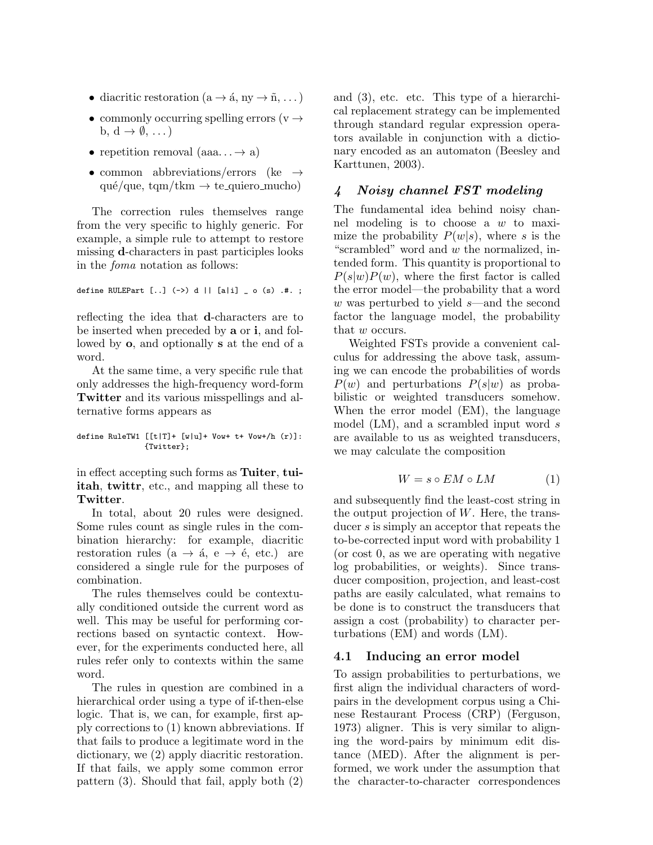- diacritic restoration ( $a \rightarrow \acute{a}$ , ny  $\rightarrow \tilde{n}$ , ...)
- commonly occurring spelling errors ( $v \rightarrow$ b,  $d \rightarrow \emptyset, \ldots$
- repetition removal  $(aaa... \rightarrow a)$
- common abbreviations/errors (ke  $\rightarrow$ qué/que, tqm/tkm  $\rightarrow$  te\_quiero\_mucho)

The correction rules themselves range from the very specific to highly generic. For example, a simple rule to attempt to restore missing d-characters in past participles looks in the foma notation as follows:

define RULEPart [..] (->) d || [a|i] \_ o (s) .#. ;

reflecting the idea that d-characters are to be inserted when preceded by a or i, and followed by o, and optionally s at the end of a word.

At the same time, a very specific rule that only addresses the high-frequency word-form Twitter and its various misspellings and alternative forms appears as

```
define RuleTW1 [[t|T]+ [w|u]+ Vow+ t+ Vow+/h (r)]:
               {Twitter};
```
in effect accepting such forms as Tuiter, tuiitah, twittr, etc., and mapping all these to Twitter.

In total, about 20 rules were designed. Some rules count as single rules in the combination hierarchy: for example, diacritic restoration rules ( $a \rightarrow \acute{a}$ ,  $e \rightarrow \acute{e}$ , etc.) are considered a single rule for the purposes of combination.

The rules themselves could be contextually conditioned outside the current word as well. This may be useful for performing corrections based on syntactic context. However, for the experiments conducted here, all rules refer only to contexts within the same word.

The rules in question are combined in a hierarchical order using a type of if-then-else logic. That is, we can, for example, first apply corrections to (1) known abbreviations. If that fails to produce a legitimate word in the dictionary, we (2) apply diacritic restoration. If that fails, we apply some common error pattern (3). Should that fail, apply both (2) and (3), etc. etc. This type of a hierarchical replacement strategy can be implemented through standard regular expression operators available in conjunction with a dictionary encoded as an automaton (Beesley and Karttunen, 2003).

## 4 Noisy channel FST modeling

The fundamental idea behind noisy channel modeling is to choose a w to maximize the probability  $P(w|s)$ , where s is the "scrambled" word and w the normalized, intended form. This quantity is proportional to  $P(s|w)P(w)$ , where the first factor is called the error model—the probability that a word w was perturbed to yield  $s$ —and the second factor the language model, the probability that w occurs.

Weighted FSTs provide a convenient calculus for addressing the above task, assuming we can encode the probabilities of words  $P(w)$  and perturbations  $P(s|w)$  as probabilistic or weighted transducers somehow. When the error model (EM), the language model (LM), and a scrambled input word s are available to us as weighted transducers, we may calculate the composition

$$
W = s \circ EM \circ LM \tag{1}
$$

and subsequently find the least-cost string in the output projection of  $W$ . Here, the transducer s is simply an acceptor that repeats the to-be-corrected input word with probability 1 (or cost 0, as we are operating with negative log probabilities, or weights). Since transducer composition, projection, and least-cost paths are easily calculated, what remains to be done is to construct the transducers that assign a cost (probability) to character perturbations (EM) and words (LM).

#### 4.1 Inducing an error model

To assign probabilities to perturbations, we first align the individual characters of wordpairs in the development corpus using a Chinese Restaurant Process (CRP) (Ferguson, 1973) aligner. This is very similar to aligning the word-pairs by minimum edit distance (MED). After the alignment is performed, we work under the assumption that the character-to-character correspondences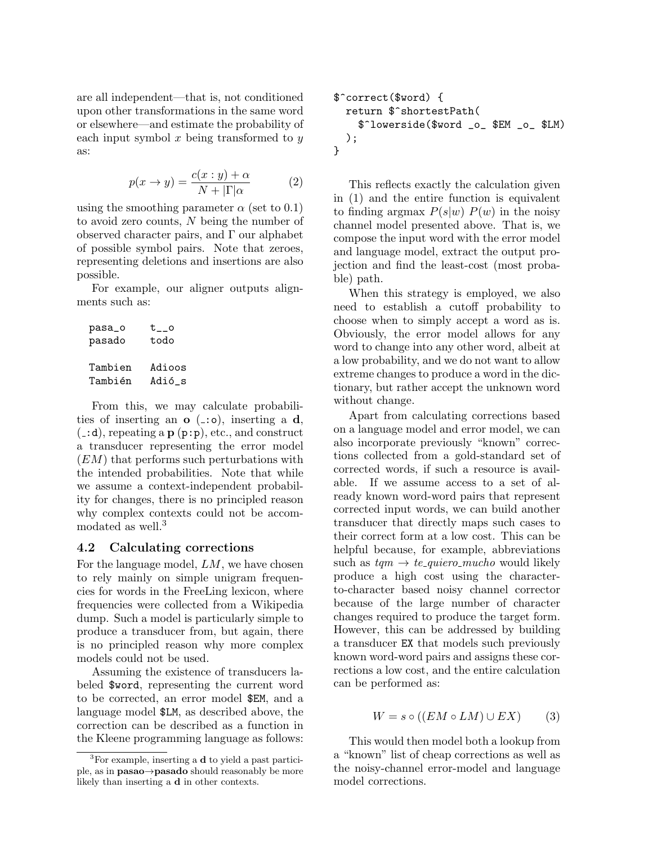are all independent—that is, not conditioned upon other transformations in the same word or elsewhere—and estimate the probability of each input symbol  $x$  being transformed to  $y$ as:

$$
p(x \to y) = \frac{c(x : y) + \alpha}{N + |\Gamma| \alpha} \tag{2}
$$

using the smoothing parameter  $\alpha$  (set to 0.1) to avoid zero counts, N being the number of observed character pairs, and Γ our alphabet of possible symbol pairs. Note that zeroes, representing deletions and insertions are also possible.

For example, our aligner outputs alignments such as:

pasa\_o t\_\_o pasado todo Tambien Adioos Tambi´en Adi´o\_s

From this, we may calculate probabilities of inserting an  $\sigma$  ( $\pm$ : $\circ$ ), inserting a d,  $($ :d), repeating a p  $(p:p)$ , etc., and construct a transducer representing the error model (EM) that performs such perturbations with the intended probabilities. Note that while we assume a context-independent probability for changes, there is no principled reason why complex contexts could not be accommodated as well.<sup>3</sup>

## 4.2 Calculating corrections

For the language model, LM, we have chosen to rely mainly on simple unigram frequencies for words in the FreeLing lexicon, where frequencies were collected from a Wikipedia dump. Such a model is particularly simple to produce a transducer from, but again, there is no principled reason why more complex models could not be used.

Assuming the existence of transducers labeled \$word, representing the current word to be corrected, an error model \$EM, and a language model \$LM, as described above, the correction can be described as a function in the Kleene programming language as follows:

```
$^correct($word) {
  return $^shortestPath(
    $^lowerside($word _o_ $EM _o_ $LM)
  );
}
```
This reflects exactly the calculation given in (1) and the entire function is equivalent to finding argmax  $P(s|w) P(w)$  in the noisy channel model presented above. That is, we compose the input word with the error model and language model, extract the output projection and find the least-cost (most probable) path.

When this strategy is employed, we also need to establish a cutoff probability to choose when to simply accept a word as is. Obviously, the error model allows for any word to change into any other word, albeit at a low probability, and we do not want to allow extreme changes to produce a word in the dictionary, but rather accept the unknown word without change.

Apart from calculating corrections based on a language model and error model, we can also incorporate previously "known" corrections collected from a gold-standard set of corrected words, if such a resource is available. If we assume access to a set of already known word-word pairs that represent corrected input words, we can build another transducer that directly maps such cases to their correct form at a low cost. This can be helpful because, for example, abbreviations such as  $tqm \rightarrow te\_{quiero\_{much}}$  would likely produce a high cost using the characterto-character based noisy channel corrector because of the large number of character changes required to produce the target form. However, this can be addressed by building a transducer EX that models such previously known word-word pairs and assigns these corrections a low cost, and the entire calculation can be performed as:

$$
W = s \circ ((EM \circ LM) \cup EX) \tag{3}
$$

This would then model both a lookup from a "known" list of cheap corrections as well as the noisy-channel error-model and language model corrections.

 ${}^{3}$ For example, inserting a **d** to yield a past participle, as in pasao→pasado should reasonably be more likely than inserting a d in other contexts.